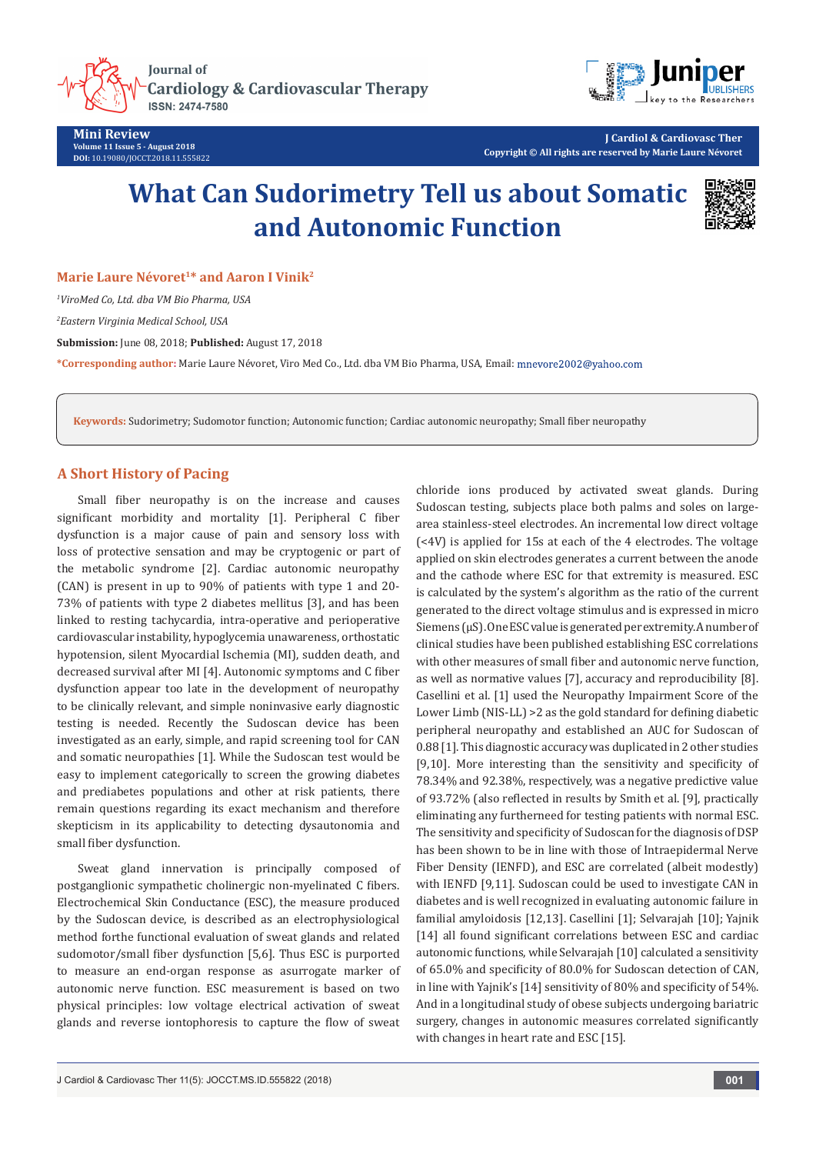

**Mini Review Volume 11 Issue 5 - August 2018 DOI:** [10.19080/JOCCT.2018.11.555822](http://dx.doi.org/10.19080/JOCCT.2018.11.555822)



**J Cardiol & Cardiovasc Ther Copyright © All rights are reserved by Marie Laure Névoret**

# **What Can Sudorimetry Tell us about Somatic and Autonomic Function**



**Marie Laure Névoret<sup>1\*</sup> and Aaron I Vinik<sup>2</sup>** 

*1 ViroMed Co, Ltd. dba VM Bio Pharma, USA*

*2 Eastern Virginia Medical School, USA*

**Submission:** June 08, 2018; **Published:** August 17, 2018

**\*Corresponding author:** Marie Laure Névoret, Viro Med Co., Ltd. dba VM Bio Pharma, USA, Email:

**Keywords:** Sudorimetry; Sudomotor function; Autonomic function; Cardiac autonomic neuropathy; Small fiber neuropathy

## **A Short History of Pacing**

Small fiber neuropathy is on the increase and causes significant morbidity and mortality [1]. Peripheral C fiber dysfunction is a major cause of pain and sensory loss with loss of protective sensation and may be cryptogenic or part of the metabolic syndrome [2]. Cardiac autonomic neuropathy (CAN) is present in up to 90% of patients with type 1 and 20- 73% of patients with type 2 diabetes mellitus [3], and has been linked to resting tachycardia, intra-operative and perioperative cardiovascular instability, hypoglycemia unawareness, orthostatic hypotension, silent Myocardial Ischemia (MI), sudden death, and decreased survival after MI [4]. Autonomic symptoms and C fiber dysfunction appear too late in the development of neuropathy to be clinically relevant, and simple noninvasive early diagnostic testing is needed. Recently the Sudoscan device has been investigated as an early, simple, and rapid screening tool for CAN and somatic neuropathies [1]. While the Sudoscan test would be easy to implement categorically to screen the growing diabetes and prediabetes populations and other at risk patients, there remain questions regarding its exact mechanism and therefore skepticism in its applicability to detecting dysautonomia and small fiber dysfunction.

Sweat gland innervation is principally composed of postganglionic sympathetic cholinergic non-myelinated C fibers. Electrochemical Skin Conductance (ESC), the measure produced by the Sudoscan device, is described as an electrophysiological method forthe functional evaluation of sweat glands and related sudomotor/small fiber dysfunction [5,6]. Thus ESC is purported to measure an end-organ response as asurrogate marker of autonomic nerve function. ESC measurement is based on two physical principles: low voltage electrical activation of sweat glands and reverse iontophoresis to capture the flow of sweat chloride ions produced by activated sweat glands. During Sudoscan testing, subjects place both palms and soles on largearea stainless-steel electrodes. An incremental low direct voltage (<4V) is applied for 15s at each of the 4 electrodes. The voltage applied on skin electrodes generates a current between the anode and the cathode where ESC for that extremity is measured. ESC is calculated by the system's algorithm as the ratio of the current generated to the direct voltage stimulus and is expressed in micro Siemens (μS). One ESC value is generated per extremity. A number of clinical studies have been published establishing ESC correlations with other measures of small fiber and autonomic nerve function, as well as normative values [7], accuracy and reproducibility [8]. Casellini et al. [1] used the Neuropathy Impairment Score of the Lower Limb (NIS-LL) >2 as the gold standard for defining diabetic peripheral neuropathy and established an AUC for Sudoscan of 0.88 [1]. This diagnostic accuracy was duplicated in 2 other studies [9,10]. More interesting than the sensitivity and specificity of 78.34% and 92.38%, respectively, was a negative predictive value of 93.72% (also reflected in results by Smith et al. [9], practically eliminating any furtherneed for testing patients with normal ESC. The sensitivity and specificity of Sudoscan for the diagnosis of DSP has been shown to be in line with those of Intraepidermal Nerve Fiber Density (IENFD), and ESC are correlated (albeit modestly) with IENFD [9,11]. Sudoscan could be used to investigate CAN in diabetes and is well recognized in evaluating autonomic failure in familial amyloidosis [12,13]. Casellini [1]; Selvarajah [10]; Yajnik [14] all found significant correlations between ESC and cardiac autonomic functions, while Selvarajah [10] calculated a sensitivity of 65.0% and specificity of 80.0% for Sudoscan detection of CAN, in line with Yajnik's [14] sensitivity of 80% and specificity of 54%. And in a longitudinal study of obese subjects undergoing bariatric surgery, changes in autonomic measures correlated significantly with changes in heart rate and ESC [15].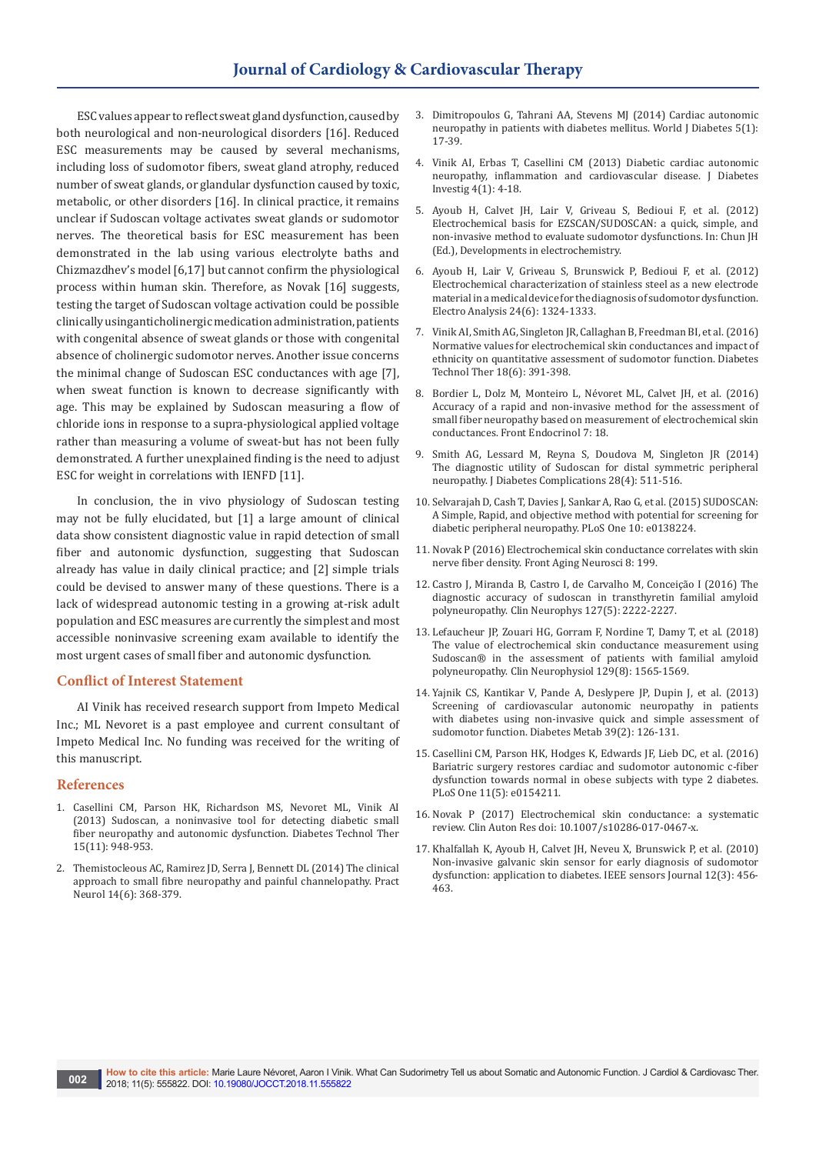ESC values appear to reflect sweat gland dysfunction, caused by both neurological and non-neurological disorders [16]. Reduced ESC measurements may be caused by several mechanisms, including loss of sudomotor fibers, sweat gland atrophy, reduced number of sweat glands, or glandular dysfunction caused by toxic, metabolic, or other disorders [16]. In clinical practice, it remains unclear if Sudoscan voltage activates sweat glands or sudomotor nerves. The theoretical basis for ESC measurement has been demonstrated in the lab using various electrolyte baths and Chizmazdhev's model [6,17] but cannot confirm the physiological process within human skin. Therefore, as Novak [16] suggests, testing the target of Sudoscan voltage activation could be possible clinically usinganticholinergic medication administration, patients with congenital absence of sweat glands or those with congenital absence of cholinergic sudomotor nerves. Another issue concerns the minimal change of Sudoscan ESC conductances with age [7], when sweat function is known to decrease significantly with age. This may be explained by Sudoscan measuring a flow of chloride ions in response to a supra-physiological applied voltage rather than measuring a volume of sweat-but has not been fully demonstrated. A further unexplained finding is the need to adjust ESC for weight in correlations with IENFD [11].

In conclusion, the in vivo physiology of Sudoscan testing may not be fully elucidated, but [1] a large amount of clinical data show consistent diagnostic value in rapid detection of small fiber and autonomic dysfunction, suggesting that Sudoscan already has value in daily clinical practice; and [2] simple trials could be devised to answer many of these questions. There is a lack of widespread autonomic testing in a growing at-risk adult population and ESC measures are currently the simplest and most accessible noninvasive screening exam available to identify the most urgent cases of small fiber and autonomic dysfunction.

### **Conflict of Interest Statement**

AI Vinik has received research support from Impeto Medical Inc.; ML Nevoret is a past employee and current consultant of Impeto Medical Inc. No funding was received for the writing of this manuscript.

#### **References**

- 1. [Casellini CM, Parson HK, Richardson MS, Nevoret ML, Vinik AI](https://www.ncbi.nlm.nih.gov/pubmed/23889506/)  [\(2013\) Sudoscan, a noninvasive tool for detecting diabetic small](https://www.ncbi.nlm.nih.gov/pubmed/23889506/)  [fiber neuropathy and autonomic dysfunction. Diabetes Technol Ther](https://www.ncbi.nlm.nih.gov/pubmed/23889506/)  [15\(11\): 948-953.](https://www.ncbi.nlm.nih.gov/pubmed/23889506/)
- 2. [Themistocleous AC, Ramirez JD, Serra J, Bennett DL \(2014\) The clinical](https://www.ncbi.nlm.nih.gov/pubmed/24778270)  [approach to small fibre neuropathy and painful channelopathy. Pract](https://www.ncbi.nlm.nih.gov/pubmed/24778270)  [Neurol 14\(6\): 368-379.](https://www.ncbi.nlm.nih.gov/pubmed/24778270)
- 3. [Dimitropoulos G, Tahrani AA, Stevens MJ \(2014\) Cardiac autonomic](https://www.ncbi.nlm.nih.gov/pubmed/24567799/)  [neuropathy in patients with diabetes mellitus. World J Diabetes 5\(1\):](https://www.ncbi.nlm.nih.gov/pubmed/24567799/)  [17-39.](https://www.ncbi.nlm.nih.gov/pubmed/24567799/)
- 4. [Vinik AI, Erbas T, Casellini CM \(2013\) Diabetic cardiac autonomic](https://www.ncbi.nlm.nih.gov/pubmed/23550085)  [neuropathy, inflammation and cardiovascular disease. J Diabetes](https://www.ncbi.nlm.nih.gov/pubmed/23550085)  [Investig 4\(1\): 4-18.](https://www.ncbi.nlm.nih.gov/pubmed/23550085)
- 5. Ayoub H, Calvet JH, Lair V, Griveau S, Bedioui F, et al. (2012) Electrochemical basis for EZSCAN/SUDOSCAN: a quick, simple, and non-invasive method to evaluate sudomotor dysfunctions. In: Chun JH (Ed.), Developments in electrochemistry.
- 6. [Ayoub H, Lair V, Griveau S, Brunswick](https://onlinelibrary.wiley.com/doi/abs/10.1002/elan.201200058) P, Bedioui F, et al. (2012) [Electrochemical characterization of stainless steel as a new electrode](https://onlinelibrary.wiley.com/doi/abs/10.1002/elan.201200058)  [material in a medical device for the diagnosis of sudomotor dysfunction.](https://onlinelibrary.wiley.com/doi/abs/10.1002/elan.201200058)  [Electro Analysis 24\(6\): 1324-1333.](https://onlinelibrary.wiley.com/doi/abs/10.1002/elan.201200058)
- 7. [Vinik AI, Smith AG, Singleton JR, Callaghan B, Freedman BI, et al. \(2016\)](https://www.ncbi.nlm.nih.gov/pubmed/27057778)  [Normative values for electrochemical skin conductances and impact of](https://www.ncbi.nlm.nih.gov/pubmed/27057778)  [ethnicity on quantitative assessment of sudomotor function. Diabetes](https://www.ncbi.nlm.nih.gov/pubmed/27057778)  [Technol Ther 18\(6\): 391-398.](https://www.ncbi.nlm.nih.gov/pubmed/27057778)
- 8. [Bordier L, Dolz M, Monteiro L, Névoret ML, Calvet JH, et al. \(2016\)](https://www.ncbi.nlm.nih.gov/pubmed/26973597/)  [Accuracy of a rapid and non-invasive method for the assessment of](https://www.ncbi.nlm.nih.gov/pubmed/26973597/)  [small fiber neuropathy based on measurement of electrochemical skin](https://www.ncbi.nlm.nih.gov/pubmed/26973597/)  [conductances. Front Endocrinol 7: 18.](https://www.ncbi.nlm.nih.gov/pubmed/26973597/)
- 9. [Smith AG, Lessard M, Reyna S, Doudova M, Singleton JR \(2014\)](https://www.ncbi.nlm.nih.gov/pubmed/24661818)  [The diagnostic utility of Sudoscan for distal symmetric peripheral](https://www.ncbi.nlm.nih.gov/pubmed/24661818)  [neuropathy. J Diabetes Complications 28\(4\): 511-516.](https://www.ncbi.nlm.nih.gov/pubmed/24661818)
- 10. [Selvarajah D, Cash T, Davies J, Sankar A, Rao G, et al. \(2015\) SUDOSCAN:](https://www.ncbi.nlm.nih.gov/pubmed/26457582)  [A Simple, Rapid, and objective method with potential for screening for](https://www.ncbi.nlm.nih.gov/pubmed/26457582)  [diabetic peripheral neuropathy. PLoS One 10: e0138224.](https://www.ncbi.nlm.nih.gov/pubmed/26457582)
- 11. [Novak P \(2016\) Electrochemical skin conductance correlates with skin](https://www.ncbi.nlm.nih.gov/pubmed/27605912/)  [nerve fiber density. Front Aging Neurosci 8: 199.](https://www.ncbi.nlm.nih.gov/pubmed/27605912/)
- 12. [Castro J, Miranda B, Castro I, de Carvalho M, Conceição I \(2016\) The](https://www.ncbi.nlm.nih.gov/pubmed/27072093)  [diagnostic accuracy of sudoscan in transthyretin familial amyloid](https://www.ncbi.nlm.nih.gov/pubmed/27072093)  [polyneuropathy. Clin Neurophys 127\(5\): 2222-2227.](https://www.ncbi.nlm.nih.gov/pubmed/27072093)
- 13. [Lefaucheur JP, Zouari HG, Gorram F, Nordine T, Damy T, et al. \(2018\)](https://www.ncbi.nlm.nih.gov/pubmed/29883834)  [The value of electrochemical skin conductance measurement using](https://www.ncbi.nlm.nih.gov/pubmed/29883834)  [Sudoscan® in the assessment of patients with familial amyloid](https://www.ncbi.nlm.nih.gov/pubmed/29883834)  [polyneuropathy. Clin Neurophysiol 129\(8\): 1565-1569.](https://www.ncbi.nlm.nih.gov/pubmed/29883834)
- 14. [Yajnik CS, Kantikar V, Pande A, Deslypere JP, Dupin J, et al. \(2013\)](https://www.ncbi.nlm.nih.gov/pubmed/23159130)  [Screening of cardiovascular autonomic neuropathy in patients](https://www.ncbi.nlm.nih.gov/pubmed/23159130)  [with diabetes using non-invasive quick and simple assessment of](https://www.ncbi.nlm.nih.gov/pubmed/23159130)  [sudomotor function. Diabetes Metab 39\(2\): 126-131.](https://www.ncbi.nlm.nih.gov/pubmed/23159130)
- 15. [Casellini CM, Parson HK, Hodges K, Edwards JF, Lieb DC, et al. \(2016\)](https://www.ncbi.nlm.nih.gov/pubmed/27137224)  [Bariatric surgery restores cardiac and sudomotor autonomic c-fiber](https://www.ncbi.nlm.nih.gov/pubmed/27137224)  [dysfunction towards normal in obese subjects with type 2 diabetes.](https://www.ncbi.nlm.nih.gov/pubmed/27137224)  [PLoS One 11\(5\): e0154211.](https://www.ncbi.nlm.nih.gov/pubmed/27137224)
- 16. [Novak P \(2017\) Electrochemical skin conductance: a systematic](https://www.ncbi.nlm.nih.gov/pubmed/28951985)  [review. Clin Auton Res doi: 10.1007/s10286-017-0467-x.](https://www.ncbi.nlm.nih.gov/pubmed/28951985)
- 17. [Khalfallah K, Ayoub H, Calvet JH, Neveu X, Brunswick P, et al. \(2010\)](https://ieeexplore.ieee.org/document/5678618/)  [Non-invasive galvanic skin sensor for early diagnosis of sudomotor](https://ieeexplore.ieee.org/document/5678618/)  [dysfunction: application to diabetes. IEEE sensors Journal 12\(3\): 456-](https://ieeexplore.ieee.org/document/5678618/) [463.](https://ieeexplore.ieee.org/document/5678618/)